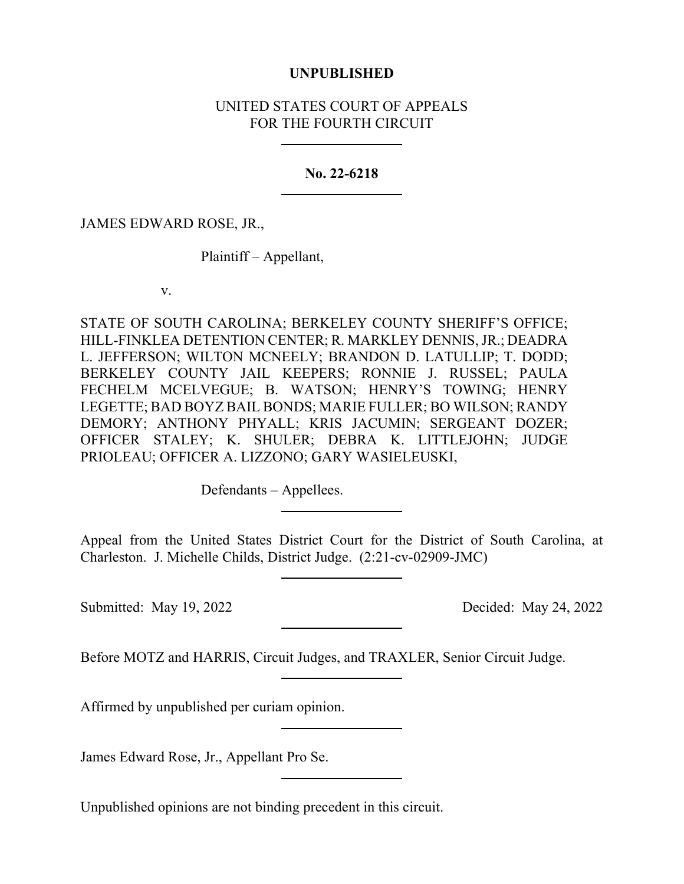## **UNPUBLISHED**

## UNITED STATES COURT OF APPEALS FOR THE FOURTH CIRCUIT

## **No. 22-6218**

JAMES EDWARD ROSE, JR.,

Plaintiff – Appellant,

v.

STATE OF SOUTH CAROLINA; BERKELEY COUNTY SHERIFF'S OFFICE; HILL-FINKLEA DETENTION CENTER; R. MARKLEY DENNIS, JR.; DEADRA L. JEFFERSON; WILTON MCNEELY; BRANDON D. LATULLIP; T. DODD; BERKELEY COUNTY JAIL KEEPERS; RONNIE J. RUSSEL; PAULA FECHELM MCELVEGUE; B. WATSON; HENRY'S TOWING; HENRY LEGETTE; BAD BOYZ BAIL BONDS; MARIE FULLER; BO WILSON; RANDY DEMORY; ANTHONY PHYALL; KRIS JACUMIN; SERGEANT DOZER; OFFICER STALEY; K. SHULER; DEBRA K. LITTLEJOHN; JUDGE PRIOLEAU; OFFICER A. LIZZONO; GARY WASIELEUSKI,

Defendants – Appellees.

Appeal from the United States District Court for the District of South Carolina, at Charleston. J. Michelle Childs, District Judge. (2:21-cv-02909-JMC)

Submitted: May 19, 2022 Decided: May 24, 2022

Before MOTZ and HARRIS, Circuit Judges, and TRAXLER, Senior Circuit Judge.

Affirmed by unpublished per curiam opinion.

James Edward Rose, Jr., Appellant Pro Se.

Unpublished opinions are not binding precedent in this circuit.